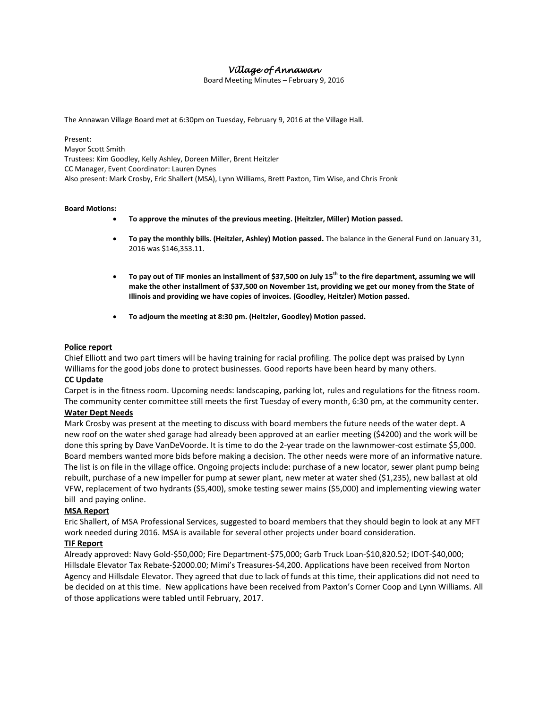# *Village of Annawan*

Board Meeting Minutes – February 9, 2016

The Annawan Village Board met at 6:30pm on Tuesday, February 9, 2016 at the Village Hall.

Present: Mayor Scott Smith Trustees: Kim Goodley, Kelly Ashley, Doreen Miller, Brent Heitzler CC Manager, Event Coordinator: Lauren Dynes Also present: Mark Crosby, Eric Shallert (MSA), Lynn Williams, Brett Paxton, Tim Wise, and Chris Fronk

#### **Board Motions:**

- **To approve the minutes of the previous meeting. (Heitzler, Miller) Motion passed.**
- **To pay the monthly bills. (Heitzler, Ashley) Motion passed.** The balance in the General Fund on January 31, 2016 was \$146,353.11.
- **To pay out of TIF monies an installment of \$37,500 on July 15th to the fire department, assuming we will make the other installment of \$37,500 on November 1st, providing we get our money from the State of Illinois and providing we have copies of invoices. (Goodley, Heitzler) Motion passed.**
- **To adjourn the meeting at 8:30 pm. (Heitzler, Goodley) Motion passed.**

### **Police report**

Chief Elliott and two part timers will be having training for racial profiling. The police dept was praised by Lynn Williams for the good jobs done to protect businesses. Good reports have been heard by many others.

## **CC Update**

Carpet is in the fitness room. Upcoming needs: landscaping, parking lot, rules and regulations for the fitness room. The community center committee still meets the first Tuesday of every month, 6:30 pm, at the community center.

# **Water Dept Needs**

Mark Crosby was present at the meeting to discuss with board members the future needs of the water dept. A new roof on the water shed garage had already been approved at an earlier meeting (\$4200) and the work will be done this spring by Dave VanDeVoorde. It is time to do the 2-year trade on the lawnmower-cost estimate \$5,000. Board members wanted more bids before making a decision. The other needs were more of an informative nature. The list is on file in the village office. Ongoing projects include: purchase of a new locator, sewer plant pump being rebuilt, purchase of a new impeller for pump at sewer plant, new meter at water shed (\$1,235), new ballast at old VFW, replacement of two hydrants (\$5,400), smoke testing sewer mains (\$5,000) and implementing viewing water bill and paying online.

## **MSA Report**

Eric Shallert, of MSA Professional Services, suggested to board members that they should begin to look at any MFT work needed during 2016. MSA is available for several other projects under board consideration.

### **TIF Report**

Already approved: Navy Gold-\$50,000; Fire Department-\$75,000; Garb Truck Loan-\$10,820.52; IDOT-\$40,000; Hillsdale Elevator Tax Rebate-\$2000.00; Mimi's Treasures-\$4,200. Applications have been received from Norton Agency and Hillsdale Elevator. They agreed that due to lack of funds at this time, their applications did not need to be decided on at this time. New applications have been received from Paxton's Corner Coop and Lynn Williams. All of those applications were tabled until February, 2017.